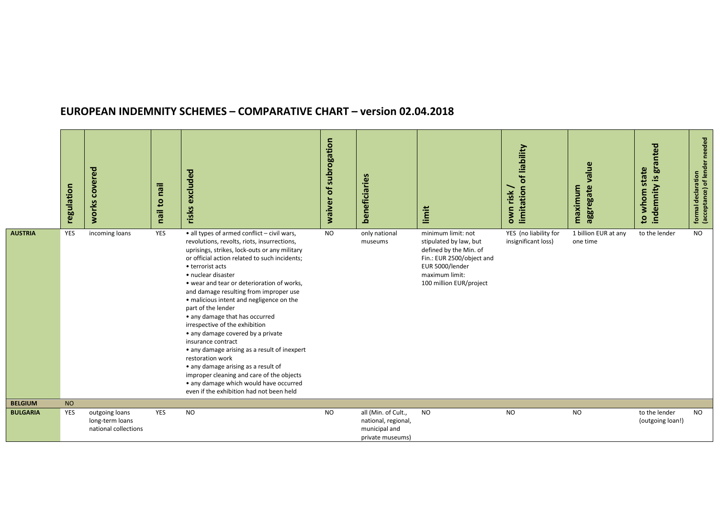## EUROPEAN INDEMNITY SCHEMES – COMPARATIVE CHART – version 02.04.2018

|                 | regulation | covered<br>works                                          | nail<br>nail to | excluded<br>risks                                                                                                                                                                                                                                                                                                                                                                                                                                                                                                                                                                                                                                                                                                                                                             | waiver of subrogation | beneficiaries                                                                   | limit                                                                                                                                                               | limitation of liability<br>own risk          | value<br>aggregate<br>maximum    | indemnity is granted<br>to whom state | needed<br>formal declaration<br>(acceptance) of lender |
|-----------------|------------|-----------------------------------------------------------|-----------------|-------------------------------------------------------------------------------------------------------------------------------------------------------------------------------------------------------------------------------------------------------------------------------------------------------------------------------------------------------------------------------------------------------------------------------------------------------------------------------------------------------------------------------------------------------------------------------------------------------------------------------------------------------------------------------------------------------------------------------------------------------------------------------|-----------------------|---------------------------------------------------------------------------------|---------------------------------------------------------------------------------------------------------------------------------------------------------------------|----------------------------------------------|----------------------------------|---------------------------------------|--------------------------------------------------------|
| <b>AUSTRIA</b>  | YES        | incoming loans                                            | YES             | • all types of armed conflict - civil wars,<br>revolutions, revolts, riots, insurrections,<br>uprisings, strikes, lock-outs or any military<br>or official action related to such incidents;<br>• terrorist acts<br>• nuclear disaster<br>• wear and tear or deterioration of works,<br>and damage resulting from improper use<br>• malicious intent and negligence on the<br>part of the lender<br>• any damage that has occurred<br>irrespective of the exhibition<br>• any damage covered by a private<br>insurance contract<br>• any damage arising as a result of inexpert<br>restoration work<br>• any damage arising as a result of<br>improper cleaning and care of the objects<br>• any damage which would have occurred<br>even if the exhibition had not been held | <b>NO</b>             | only national<br>museums                                                        | minimum limit: not<br>stipulated by law, but<br>defined by the Min. of<br>Fin.: EUR 2500/object and<br>EUR 5000/lender<br>maximum limit:<br>100 million EUR/project | YES (no liability for<br>insignificant loss) | 1 billion EUR at any<br>one time | to the lender                         | <b>NO</b>                                              |
| <b>BELGIUM</b>  | <b>NO</b>  |                                                           |                 |                                                                                                                                                                                                                                                                                                                                                                                                                                                                                                                                                                                                                                                                                                                                                                               |                       |                                                                                 |                                                                                                                                                                     |                                              |                                  |                                       |                                                        |
| <b>BULGARIA</b> | YES        | outgoing loans<br>long-term loans<br>national collections | YES             | <b>NO</b>                                                                                                                                                                                                                                                                                                                                                                                                                                                                                                                                                                                                                                                                                                                                                                     | <b>NO</b>             | all (Min. of Cult.,<br>national, regional,<br>municipal and<br>private museums) | <b>NO</b>                                                                                                                                                           | <b>NO</b>                                    | <b>NO</b>                        | to the lender<br>(outgoing loan!)     | <b>NO</b>                                              |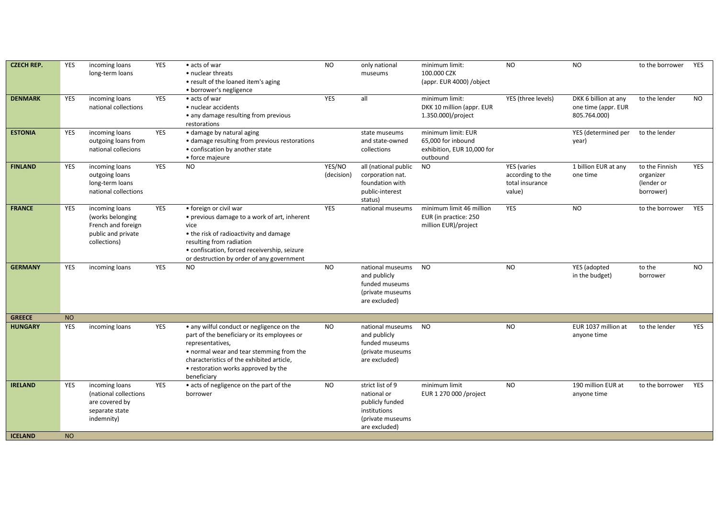| <b>CZECH REP.</b> | YES       | incoming loans<br>long-term loans                                                              | <b>YES</b> | • acts of war<br>• nuclear threats<br>• result of the loaned item's aging<br>• borrower's negligence                                                                                                                                                        | <b>NO</b>            | only national<br>museums                                                                                | minimum limit:<br>100.000 CZK<br>(appr. EUR 4000) / object                         | <b>NO</b>                                                           | <b>NO</b>                                                   | to the borrower                                        | YES        |
|-------------------|-----------|------------------------------------------------------------------------------------------------|------------|-------------------------------------------------------------------------------------------------------------------------------------------------------------------------------------------------------------------------------------------------------------|----------------------|---------------------------------------------------------------------------------------------------------|------------------------------------------------------------------------------------|---------------------------------------------------------------------|-------------------------------------------------------------|--------------------------------------------------------|------------|
| <b>DENMARK</b>    | YES       | incoming loans<br>national collections                                                         | <b>YES</b> | • acts of war<br>· nuclear accidents<br>• any damage resulting from previous<br>restorations                                                                                                                                                                | <b>YES</b>           | all                                                                                                     | minimum limit:<br>DKK 10 million (appr. EUR<br>1.350.000)/project                  | YES (three levels)                                                  | DKK 6 billion at any<br>one time (appr. EUR<br>805.764.000) | to the lender                                          | <b>NO</b>  |
| <b>ESTONIA</b>    | YES       | incoming loans<br>outgoing loans from<br>national collecions                                   | <b>YES</b> | · damage by natural aging<br>• damage resulting from previous restorations<br>• confiscation by another state<br>• force majeure                                                                                                                            |                      | state museums<br>and state-owned<br>collections                                                         | minimum limit: EUR<br>65,000 for inbound<br>exhibition, EUR 10,000 for<br>outbound |                                                                     | YES (determined per<br>year)                                | to the lender                                          |            |
| <b>FINLAND</b>    | YES       | incoming loans<br>outgoing loans<br>long-term loans<br>national collections                    | <b>YES</b> | NO                                                                                                                                                                                                                                                          | YES/NO<br>(decision) | all (national public<br>corporation nat.<br>foundation with<br>public-interest<br>status)               | <b>NO</b>                                                                          | <b>YES</b> (varies<br>according to the<br>total insurance<br>value) | 1 billion EUR at any<br>one time                            | to the Finnish<br>organizer<br>(lender or<br>borrower) | <b>YES</b> |
| <b>FRANCE</b>     | YES       | incoming loans<br>(works belonging<br>French and foreign<br>public and private<br>collections) | YES        | • foreign or civil war<br>• previous damage to a work of art, inherent<br>vice<br>• the risk of radioactivity and damage<br>resulting from radiation<br>· confiscation, forced receivership, seizure<br>or destruction by order of any government           | <b>YES</b>           | national museums                                                                                        | minimum limit 46 million<br>EUR (in practice: 250<br>million EUR)/project          | YES                                                                 | <b>NO</b>                                                   | to the borrower                                        | YES        |
| <b>GERMANY</b>    | YES       | incoming loans                                                                                 | YES        | NO.                                                                                                                                                                                                                                                         | <b>NO</b>            | national museums<br>and publicly<br>funded museums<br>(private museums<br>are excluded)                 | <b>NO</b>                                                                          | <b>NO</b>                                                           | YES (adopted<br>in the budget)                              | to the<br>borrower                                     | <b>NO</b>  |
| <b>GREECE</b>     | <b>NO</b> |                                                                                                |            |                                                                                                                                                                                                                                                             |                      |                                                                                                         |                                                                                    |                                                                     |                                                             |                                                        |            |
| <b>HUNGARY</b>    | YES       | incoming loans                                                                                 | YES        | • any wilful conduct or negligence on the<br>part of the beneficiary or its employees or<br>representatives,<br>• normal wear and tear stemming from the<br>characteristics of the exhibited article,<br>• restoration works approved by the<br>beneficiary | NO.                  | national museums<br>and publicly<br>funded museums<br>(private museums<br>are excluded)                 | NO                                                                                 | <b>NO</b>                                                           | EUR 1037 million at<br>anyone time                          | to the lender                                          | YES        |
| <b>IRELAND</b>    | YES       | incoming loans<br>(national collections<br>are covered by<br>separate state<br>indemnity)      | YES        | • acts of negligence on the part of the<br>borrower                                                                                                                                                                                                         | <b>NO</b>            | strict list of 9<br>national or<br>publicly funded<br>institutions<br>(private museums<br>are excluded) | minimum limit<br>EUR 1 270 000 / project                                           | <b>NO</b>                                                           | 190 million EUR at<br>anyone time                           | to the borrower                                        | YES        |
| <b>ICELAND</b>    | <b>NO</b> |                                                                                                |            |                                                                                                                                                                                                                                                             |                      |                                                                                                         |                                                                                    |                                                                     |                                                             |                                                        |            |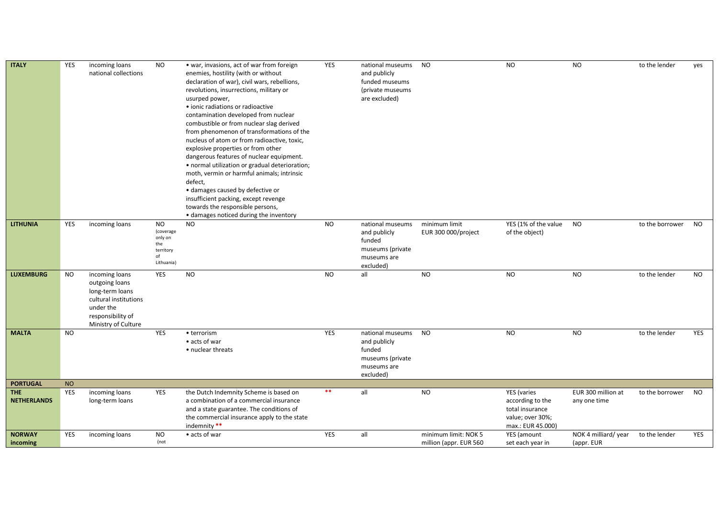| <b>ITALY</b>                     | YES       | incoming loans<br>national collections                                                                                                | <b>NO</b>                                                                 | • war, invasions, act of war from foreign<br>enemies, hostility (with or without<br>declaration of war), civil wars, rebellions,<br>revolutions, insurrections, military or<br>usurped power,<br>· ionic radiations or radioactive<br>contamination developed from nuclear<br>combustible or from nuclear slag derived<br>from phenomenon of transformations of the<br>nucleus of atom or from radioactive, toxic,<br>explosive properties or from other<br>dangerous features of nuclear equipment.<br>· normal utilization or gradual deterioration;<br>moth, vermin or harmful animals; intrinsic<br>defect,<br>· damages caused by defective or<br>insufficient packing, except revenge<br>towards the responsible persons,<br>• damages noticed during the inventory | <b>YES</b> | national museums<br>and publicly<br>funded museums<br>(private museums<br>are excluded)    | <b>NO</b>                                      | <b>NO</b>                                                                                   | <b>NO</b>                          | to the lender   | yes        |
|----------------------------------|-----------|---------------------------------------------------------------------------------------------------------------------------------------|---------------------------------------------------------------------------|---------------------------------------------------------------------------------------------------------------------------------------------------------------------------------------------------------------------------------------------------------------------------------------------------------------------------------------------------------------------------------------------------------------------------------------------------------------------------------------------------------------------------------------------------------------------------------------------------------------------------------------------------------------------------------------------------------------------------------------------------------------------------|------------|--------------------------------------------------------------------------------------------|------------------------------------------------|---------------------------------------------------------------------------------------------|------------------------------------|-----------------|------------|
| <b>LITHUNIA</b>                  | YES       | incoming loans                                                                                                                        | <b>NO</b><br>(coverage<br>only on<br>the<br>territory<br>of<br>Lithuania) | <b>NO</b>                                                                                                                                                                                                                                                                                                                                                                                                                                                                                                                                                                                                                                                                                                                                                                 | <b>NO</b>  | national museums<br>and publicly<br>funded<br>museums (private<br>museums are<br>excluded) | minimum limit<br>EUR 300 000/project           | YES (1% of the value<br>of the object)                                                      | <b>NO</b>                          | to the borrower | <b>NO</b>  |
| <b>LUXEMBURG</b>                 | <b>NO</b> | incoming loans<br>outgoing loans<br>long-term loans<br>cultural institutions<br>under the<br>responsibility of<br>Ministry of Culture | <b>YES</b>                                                                | <b>NO</b>                                                                                                                                                                                                                                                                                                                                                                                                                                                                                                                                                                                                                                                                                                                                                                 | <b>NO</b>  | all                                                                                        | <b>NO</b>                                      | <b>NO</b>                                                                                   | <b>NO</b>                          | to the lender   | <b>NO</b>  |
| <b>MALTA</b>                     | <b>NO</b> |                                                                                                                                       | YES                                                                       | • terrorism<br>• acts of war<br>• nuclear threats                                                                                                                                                                                                                                                                                                                                                                                                                                                                                                                                                                                                                                                                                                                         | YES        | national museums<br>and publicly<br>funded<br>museums (private<br>museums are<br>excluded) | <b>NO</b>                                      | <b>NO</b>                                                                                   | <b>NO</b>                          | to the lender   | <b>YES</b> |
| <b>PORTUGAL</b>                  | <b>NO</b> |                                                                                                                                       |                                                                           |                                                                                                                                                                                                                                                                                                                                                                                                                                                                                                                                                                                                                                                                                                                                                                           |            |                                                                                            |                                                |                                                                                             |                                    |                 |            |
| <b>THE</b><br><b>NETHERLANDS</b> | YES       | incoming loans<br>long-term loans                                                                                                     | YES                                                                       | the Dutch Indemnity Scheme is based on<br>a combination of a commercial insurance<br>and a state guarantee. The conditions of<br>the commercial insurance apply to the state<br>indemnity **                                                                                                                                                                                                                                                                                                                                                                                                                                                                                                                                                                              | $\ast\ast$ | all                                                                                        | <b>NO</b>                                      | YES (varies<br>according to the<br>total insurance<br>value; over 30%;<br>max.: EUR 45.000) | EUR 300 million at<br>any one time | to the borrower | <b>NO</b>  |
| <b>NORWAY</b><br>incoming        | YES       | incoming loans                                                                                                                        | <b>NO</b><br>(not                                                         | • acts of war                                                                                                                                                                                                                                                                                                                                                                                                                                                                                                                                                                                                                                                                                                                                                             | YES        | all                                                                                        | minimum limit: NOK 5<br>million (appr. EUR 560 | YES (amount<br>set each year in                                                             | NOK 4 milliard/ year<br>(appr. EUR | to the lender   | YES        |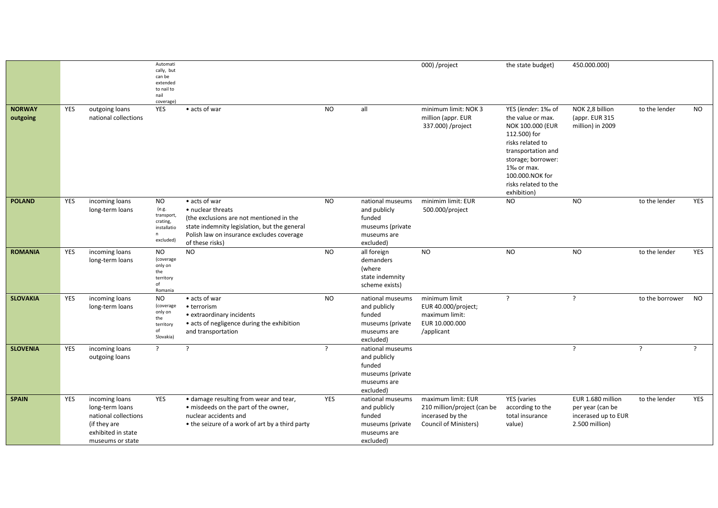|                           |            |                                                                                                                     | Automati<br>cally, but<br>can be<br>extended<br>to nail to<br>nail<br>coverage) |                                                                                                                                                                                                |                |                                                                                            | 000) /project                                                                                  | the state budget)                                                                                                                                                                                                          | 450.000.000)                                                                   |                 |     |
|---------------------------|------------|---------------------------------------------------------------------------------------------------------------------|---------------------------------------------------------------------------------|------------------------------------------------------------------------------------------------------------------------------------------------------------------------------------------------|----------------|--------------------------------------------------------------------------------------------|------------------------------------------------------------------------------------------------|----------------------------------------------------------------------------------------------------------------------------------------------------------------------------------------------------------------------------|--------------------------------------------------------------------------------|-----------------|-----|
| <b>NORWAY</b><br>outgoing | <b>YES</b> | outgoing loans<br>national collections                                                                              | YES                                                                             | • acts of war                                                                                                                                                                                  | <b>NO</b>      | all                                                                                        | minimum limit: NOK 3<br>million (appr. EUR<br>337.000) /project                                | YES (lender: 1‰ of<br>the value or max.<br><b>NOK 100.000 (EUR</b><br>112.500) for<br>risks related to<br>transportation and<br>storage; borrower:<br>1‰ or max.<br>100.000.NOK for<br>risks related to the<br>exhibition) | NOK 2,8 billion<br>(appr. EUR 315<br>million) in 2009                          | to the lender   | NO. |
| <b>POLAND</b>             | YES        | incoming loans<br>long-term loans                                                                                   | <b>NO</b><br>(e.g.<br>transport,<br>crating,<br>installatio<br>n<br>excluded)   | • acts of war<br>• nuclear threats<br>(the exclusions are not mentioned in the<br>state indemnity legislation, but the general<br>Polish law on insurance excludes coverage<br>of these risks) | <b>NO</b>      | national museums<br>and publicly<br>funded<br>museums (private<br>museums are<br>excluded) | minimim limit: EUR<br>500.000/project                                                          | <b>NO</b>                                                                                                                                                                                                                  | <b>NO</b>                                                                      | to the lender   | YES |
| <b>ROMANIA</b>            | <b>YES</b> | incoming loans<br>long-term loans                                                                                   | <b>NO</b><br>(coverage<br>only on<br>the<br>territory<br>of<br>Romania          | <b>NO</b>                                                                                                                                                                                      | <b>NO</b>      | all foreign<br>demanders<br>(where<br>state indemnity<br>scheme exists)                    | <b>NO</b>                                                                                      | <b>NO</b>                                                                                                                                                                                                                  | <b>NO</b>                                                                      | to the lender   | YES |
| <b>SLOVAKIA</b>           | <b>YES</b> | incoming loans<br>long-term loans                                                                                   | <b>NO</b><br>(coverage<br>only on<br>the<br>territory<br>of<br>Slovakia)        | • acts of war<br>• terrorism<br>• extraordinary incidents<br>• acts of negligence during the exhibition<br>and transportation                                                                  | <b>NO</b>      | national museums<br>and publicly<br>funded<br>museums (private<br>museums are<br>excluded) | minimum limit<br>EUR 40.000/project;<br>maximum limit:<br>EUR 10.000.000<br>/applicant         | ?                                                                                                                                                                                                                          | $\overline{?}$                                                                 | to the borrower | NO. |
| <b>SLOVENIA</b>           | YES        | incoming loans<br>outgoing loans                                                                                    | $\cdot$                                                                         | -2                                                                                                                                                                                             | $\overline{?}$ | national museums<br>and publicly<br>funded<br>museums (private<br>museums are<br>excluded) |                                                                                                |                                                                                                                                                                                                                            | ?                                                                              | -2              |     |
| <b>SPAIN</b>              | YES        | incoming loans<br>long-term loans<br>national collections<br>(if they are<br>exhibited in state<br>museums or state | YES                                                                             | • damage resulting from wear and tear,<br>• misdeeds on the part of the owner,<br>nuclear accidents and<br>• the seizure of a work of art by a third party                                     | YES            | national museums<br>and publicly<br>funded<br>museums (private<br>museums are<br>excluded) | maximum limit: EUR<br>210 million/project (can be<br>incerased by the<br>Council of Ministers) | <b>YES</b> (varies<br>according to the<br>total insurance<br>value)                                                                                                                                                        | EUR 1.680 million<br>per year (can be<br>incerased up to EUR<br>2.500 million) | to the lender   | YES |